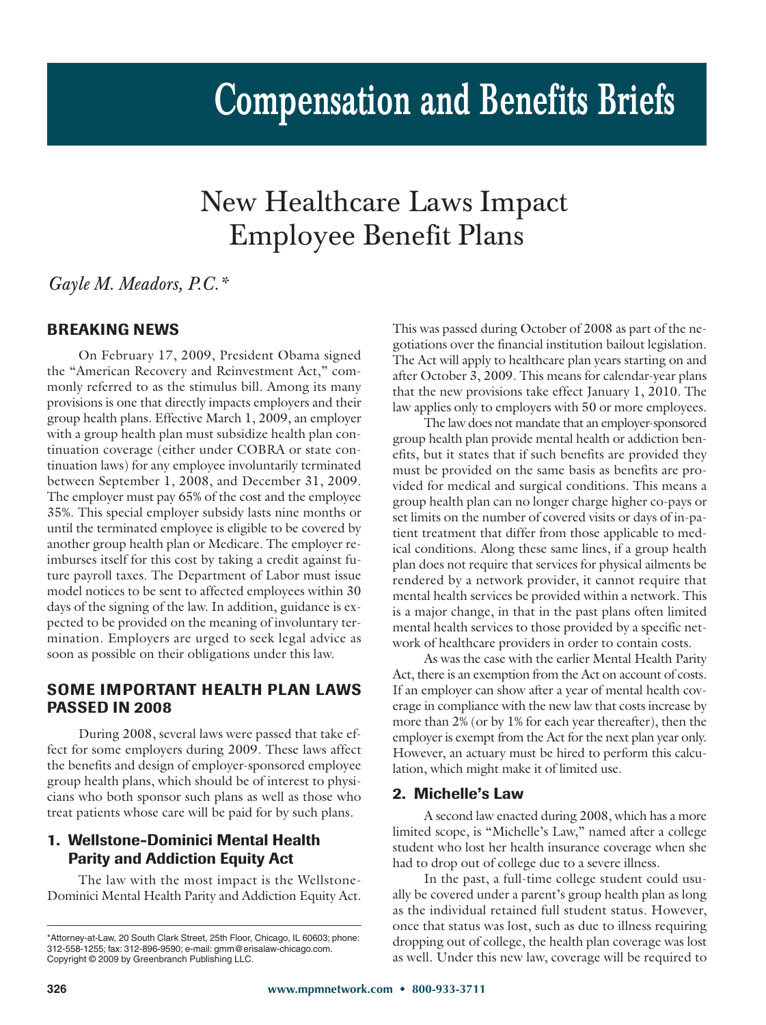# New Healthcare Laws Impact Employee Benefit Plans

*Gayle M. Meadors, P.C.\**

# **BREAKING NEWS**

On February 17, 2009, President Obama signed the "American Recovery and Reinvestment Act," commonly referred to as the stimulus bill. Among its many provisions is one that directly impacts employers and their group health plans. Effective March 1, 2009, an employer with a group health plan must subsidize health plan continuation coverage (either under COBRA or state continuation laws) for any employee involuntarily terminated between September 1, 2008, and December 31, 2009. The employer must pay 65% of the cost and the employee 35%. This special employer subsidy lasts nine months or until the terminated employee is eligible to be covered by another group health plan or Medicare. The employer reimburses itself for this cost by taking a credit against future payroll taxes. The Department of Labor must issue model notices to be sent to affected employees within 30 days of the signing of the law. In addition, guidance is expected to be provided on the meaning of involuntary termination. Employers are urged to seek legal advice as soon as possible on their obligations under this law.

# **SOME IMPORTANT HEALTH PLAN LAWS PASSED IN 2008**

During 2008, several laws were passed that take effect for some employers during 2009. These laws affect the benefits and design of employer-sponsored employee group health plans, which should be of interest to physicians who both sponsor such plans as well as those who treat patients whose care will be paid for by such plans.

# **1. Wellstone-Dominici Mental Health Parity and Addiction Equity Act**

The law with the most impact is the Wellstone-Dominici Mental Health Parity and Addiction Equity Act. This was passed during October of 2008 as part of the negotiations over the financial institution bailout legislation. The Act will apply to healthcare plan years starting on and after October 3, 2009. This means for calendar-year plans that the new provisions take effect January 1, 2010. The law applies only to employers with 50 or more employees.

The law does not mandate that an employer-sponsored group health plan provide mental health or addiction benefits, but it states that if such benefits are provided they must be provided on the same basis as benefits are provided for medical and surgical conditions. This means a group health plan can no longer charge higher co-pays or set limits on the number of covered visits or days of in-patient treatment that differ from those applicable to medical conditions. Along these same lines, if a group health plan does not require that services for physical ailments be rendered by a network provider, it cannot require that mental health services be provided within a network. This is a major change, in that in the past plans often limited mental health services to those provided by a specific network of healthcare providers in order to contain costs.

As was the case with the earlier Mental Health Parity Act, there is an exemption from the Act on account of costs. If an employer can show after a year of mental health coverage in compliance with the new law that costs increase by more than 2% (or by 1% for each year thereafter), then the employer is exempt from the Act for the next plan year only. However, an actuary must be hired to perform this calculation, which might make it of limited use.

#### **2. Michelle's Law**

A second law enacted during 2008, which has a more limited scope, is "Michelle's Law," named after a college student who lost her health insurance coverage when she had to drop out of college due to a severe illness.

In the past, a full-time college student could usually be covered under a parent's group health plan as long as the individual retained full student status. However, once that status was lost, such as due to illness requiring dropping out of college, the health plan coverage was lost as well. Under this new law, coverage will be required to

<sup>\*</sup>Attorney-at-Law, 20 South Clark Street, 25th Floor, Chicago, IL 60603; phone: 312-558-1255; fax: 312-896-9590; e-mail: gmm@erisalaw-chicago.com. Copyright © 2009 by Greenbranch Publishing LLC.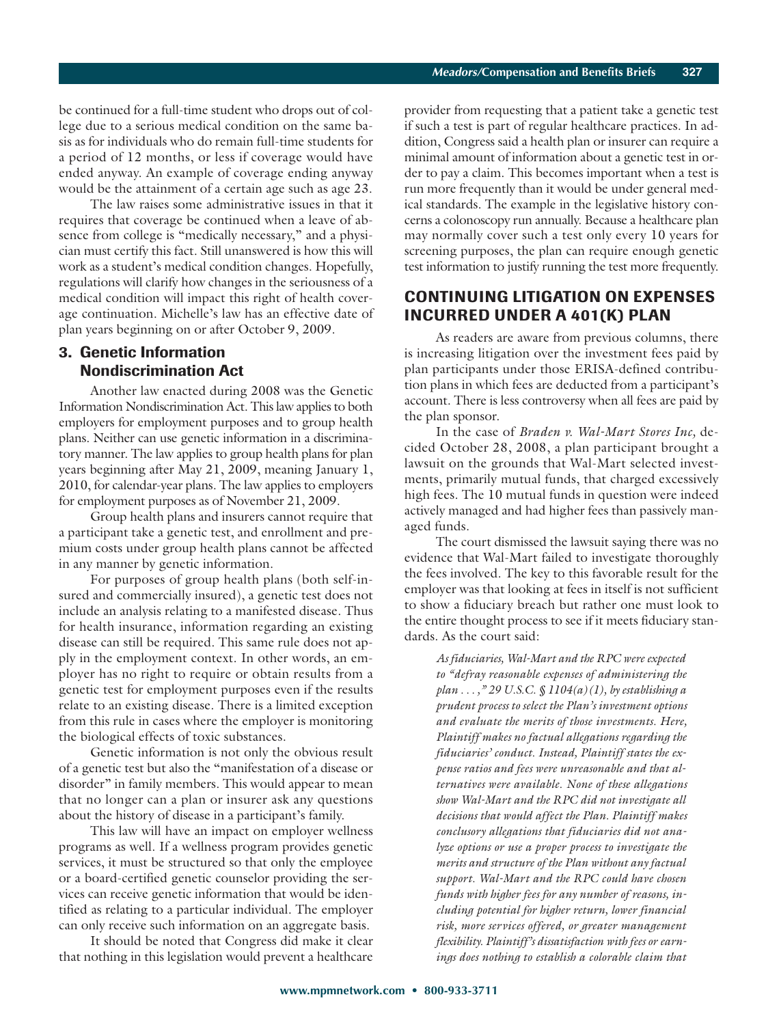be continued for a full-time student who drops out of college due to a serious medical condition on the same basis as for individuals who do remain full-time students for a period of 12 months, or less if coverage would have ended anyway. An example of coverage ending anyway would be the attainment of a certain age such as age 23.

The law raises some administrative issues in that it requires that coverage be continued when a leave of absence from college is "medically necessary," and a physician must certify this fact. Still unanswered is how this will work as a student's medical condition changes. Hopefully, regulations will clarify how changes in the seriousness of a medical condition will impact this right of health coverage continuation. Michelle's law has an effective date of plan years beginning on or after October 9, 2009.

#### **3. Genetic Information Nondiscrimination Act**

Another law enacted during 2008 was the Genetic Information Nondiscrimination Act. This law applies to both employers for employment purposes and to group health plans. Neither can use genetic information in a discriminatory manner. The law applies to group health plans for plan years beginning after May 21, 2009, meaning January 1, 2010, for calendar-year plans. The law applies to employers for employment purposes as of November 21, 2009.

Group health plans and insurers cannot require that a participant take a genetic test, and enrollment and premium costs under group health plans cannot be affected in any manner by genetic information.

For purposes of group health plans (both self-insured and commercially insured), a genetic test does not include an analysis relating to a manifested disease. Thus for health insurance, information regarding an existing disease can still be required. This same rule does not apply in the employment context. In other words, an employer has no right to require or obtain results from a genetic test for employment purposes even if the results relate to an existing disease. There is a limited exception from this rule in cases where the employer is monitoring the biological effects of toxic substances.

Genetic information is not only the obvious result of a genetic test but also the "manifestation of a disease or disorder" in family members. This would appear to mean that no longer can a plan or insurer ask any questions about the history of disease in a participant's family.

This law will have an impact on employer wellness programs as well. If a wellness program provides genetic services, it must be structured so that only the employee or a board-certified genetic counselor providing the services can receive genetic information that would be identified as relating to a particular individual. The employer can only receive such information on an aggregate basis.

It should be noted that Congress did make it clear that nothing in this legislation would prevent a healthcare provider from requesting that a patient take a genetic test if such a test is part of regular healthcare practices. In addition, Congress said a health plan or insurer can require a minimal amount of information about a genetic test in order to pay a claim. This becomes important when a test is run more frequently than it would be under general medical standards. The example in the legislative history concerns a colonoscopy run annually. Because a healthcare plan may normally cover such a test only every 10 years for screening purposes, the plan can require enough genetic test information to justify running the test more frequently.

### **CONTINUING LITIGATION ON EXPENSES INCURRED UNDER A 401(K) PLAN**

As readers are aware from previous columns, there is increasing litigation over the investment fees paid by plan participants under those ERISA-defined contribution plans in which fees are deducted from a participant's account. There is less controversy when all fees are paid by the plan sponsor.

In the case of *Braden v. Wal-Mart Stores Inc,* decided October 28, 2008, a plan participant brought a lawsuit on the grounds that Wal-Mart selected investments, primarily mutual funds, that charged excessively high fees. The 10 mutual funds in question were indeed actively managed and had higher fees than passively managed funds.

The court dismissed the lawsuit saying there was no evidence that Wal-Mart failed to investigate thoroughly the fees involved. The key to this favorable result for the employer was that looking at fees in itself is not sufficient to show a fiduciary breach but rather one must look to the entire thought process to see if it meets fiduciary standards. As the court said:

*As fiduciaries, Wal-Mart and the RPC were expected to "defray reasonable expenses of administering the plan . . . ," 29 U.S.C. § 1104(a)(1), by establishing a prudent process to select the Plan's investment options and evaluate the merits of those investments. Here, Plaintiff makes no factual allegations regarding the fiduciaries' conduct. Instead, Plaintiff states the expense ratios and fees were unreasonable and that alternatives were available. None of these allegations show Wal-Mart and the RPC did not investigate all decisions that would affect the Plan. Plaintiff makes conclusory allegations that fiduciaries did not analyze options or use a proper process to investigate the merits and structure of the Plan without any factual support. Wal-Mart and the RPC could have chosen funds with higher fees for any number of reasons, including potential for higher return, lower financial risk, more services offered, or greater management flexibility. Plaintiff's dissatisfaction with fees or earnings does nothing to establish a colorable claim that*